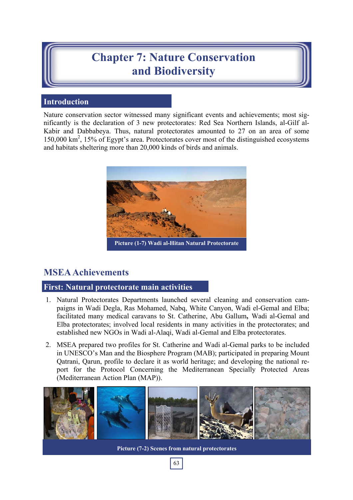# **Chapter 7: Nature Conservation and Biodiversity**

# **Introduction**

Nature conservation sector witnessed many significant events and achievements; most significantly is the declaration of 3 new protectorates: Red Sea Northern Islands, al-Gilf al-Kabir and Dabbabeya. Thus, natural protectorates amounted to 27 on an area of some 150,000 km<sup>2</sup>, 15% of Egypt's area. Protectorates cover most of the distinguished ecosystems and habitats sheltering more than 20,000 kinds of birds and animals.



# **MSEA Achievements**

# **First: Natural protectorate main activities**

- 1. Natural Protectorates Departments launched several cleaning and conservation campaigns in Wadi Degla, Ras Mohamed, Nabq, White Canyon, Wadi el-Gemal and Elba; facilitated many medical caravans to St. Catherine, Abu Gallum**,** Wadi al-Gemal and Elba protectorates; involved local residents in many activities in the protectorates; and established new NGOs in Wadi al-Alaqi, Wadi al-Gemal and Elba protectorates.
- 2. MSEA prepared two profiles for St. Catherine and Wadi al-Gemal parks to be included in UNESCO's Man and the Biosphere Program (MAB); participated in preparing Mount Qatrani, Qarun, profile to declare it as world heritage; and developing the national report for the Protocol Concerning the Mediterranean Specially Protected Areas (Mediterranean Action Plan (MAP)).



63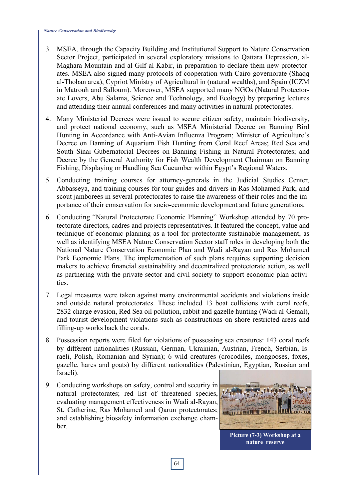- 3. MSEA, through the Capacity Building and Institutional Support to Nature Conservation Sector Project, participated in several exploratory missions to Qattara Depression, al-Maghara Mountain and al-Gilf al-Kabir, in preparation to declare them new protectorates. MSEA also signed many protocols of cooperation with Cairo governorate (Shaqq al-Thoban area), Cypriot Ministry of Agricultural in (natural wealths), and Spain (ICZM in Matrouh and Salloum). Moreover, MSEA supported many NGOs (Natural Protectorate Lovers, Abu Salama, Science and Technology, and Ecology) by preparing lectures and attending their annual conferences and many activities in natural protectorates.
- 4. Many Ministerial Decrees were issued to secure citizen safety, maintain biodiversity, and protect national economy, such as MSEA Ministerial Decree on Banning Bird Hunting in Accordance with Anti-Avian Influenza Program; Minister of Agriculture's Decree on Banning of Aquarium Fish Hunting from Coral Reef Areas; Red Sea and South Sinai Gubernatorial Decrees on Banning Fishing in Natural Protectorates; and Decree by the General Authority for Fish Wealth Development Chairman on Banning Fishing, Displaying or Handling Sea Cucumber within Egypt's Regional Waters.
- 5. Conducting training courses for attorney-generals in the Judicial Studies Center, Abbasseya, and training courses for tour guides and drivers in Ras Mohamed Park, and scout jamborees in several protectorates to raise the awareness of their roles and the importance of their conservation for socio-economic development and future generations.
- 6. Conducting "Natural Protectorate Economic Planning" Workshop attended by 70 protectorate directors, cadres and projects representatives. It featured the concept, value and technique of economic planning as a tool for protectorate sustainable management, as well as identifying MSEA Nature Conservation Sector staff roles in developing both the National Nature Conservation Economic Plan and Wadi al-Rayan and Ras Mohamed Park Economic Plans. The implementation of such plans requires supporting decision makers to achieve financial sustainability and decentralized protectorate action, as well as partnering with the private sector and civil society to support economic plan activities.
- 7. Legal measures were taken against many environmental accidents and violations inside and outside natural protectorates. These included 13 boat collisions with coral reefs, 2832 charge evasion, Red Sea oil pollution, rabbit and gazelle hunting (Wadi al-Gemal), and tourist development violations such as constructions on shore restricted areas and filling-up works back the corals.
- 8. Possession reports were filed for violations of possessing sea creatures: 143 coral reefs by different nationalities (Russian, German, Ukrainian, Austrian, French, Serbian, Israeli, Polish, Romanian and Syrian); 6 wild creatures (crocodiles, mongooses, foxes, gazelle, hares and goats) by different nationalities (Palestinian, Egyptian, Russian and Israeli).
- 9. Conducting workshops on safety, control and security in natural protectorates; red list of threatened species, evaluating management effectiveness in Wadi al-Rayan, St. Catherine, Ras Mohamed and Qarun protectorates; and establishing biosafety information exchange chamber.



**Picture (7-3) Workshop at a nature reserve**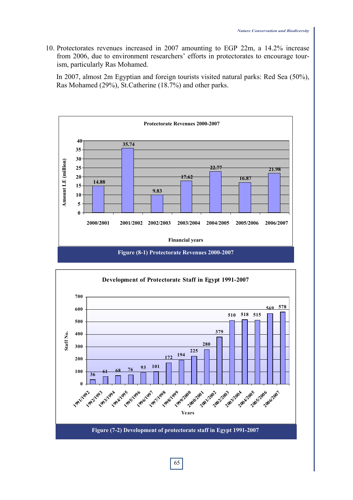10. Protectorates revenues increased in 2007 amounting to EGP 22m, a 14.2% increase from 2006, due to environment researchers' efforts in protectorates to encourage tourism, particularly Ras Mohamed.

 In 2007, almost 2m Egyptian and foreign tourists visited natural parks: Red Sea (50%), Ras Mohamed (29%), St.Catherine (18.7%) and other parks.





65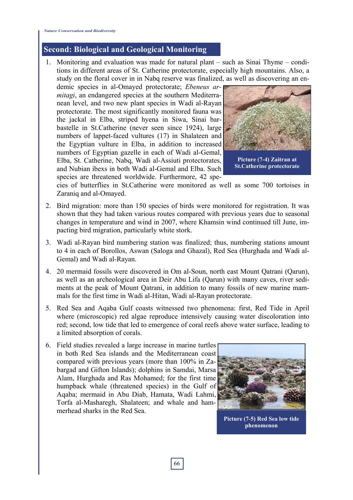# **Second: Biological and Geological Monitoring**

1. Monitoring and evaluation was made for natural plant – such as Sinai Thyme – conditions in different areas of St. Catherine protectorate, especially high mountains. Also, a study on the floral cover in in Nabq reserve was finalized, as well as discovering an en-

demic species in al-Omayed protectorate; *Ebeneus armitagi*, an endangered species at the southern Mediterranean level, and two new plant species in Wadi al-Rayan protectorate. The most significantly monitored fauna was the jackal in Elba, striped hyena in Siwa, Sinai barbastelle in St.Catherine (never seen since 1924), large numbers of lappet-faced vultures (17) in Shalateen and the Egyptian vulture in Elba, in addition to increased numbers of Egyptian gazelle in each of Wadi al-Gemal, Elba, St. Catherine, Nabq, Wadi al-Assiuti protectorates, and Nubian ibexs in both Wadi al-Gemal and Elba. Such species are threatened worldwide. Furthermore, 42 spe-



**Picture (7-4) Zaitran at St.Catherine protectorate** 

cies of butterflies in St.Catherine were monitored as well as some 700 tortoises in Zaraniq and al-Omayed.

- 2. Bird migration: more than 150 species of birds were monitored for registration. It was shown that they had taken various routes compared with previous years due to seasonal changes in temperature and wind in 2007, where Khamsin wind continued till June, impacting bird migration, particularly white stork.
- 3. Wadi al-Rayan bird numbering station was finalized; thus, numbering stations amount to 4 in each of Borollos, Aswan (Saloga and Ghazal), Red Sea (Hurghada and Wadi al-Gemal) and Wadi al-Rayan.
- 4. 20 mermaid fossils were discovered in Om al-Soun, north east Mount Qatrani (Qarun), as well as an archeological area in Deir Abu Lifa (Qarun) with many caves, river sediments at the peak of Mount Qatrani, in addition to many fossils of new marine mammals for the first time in Wadi al-Hitan, Wadi al-Rayan protectorate.
- 5. Red Sea and Aqaba Gulf coasts witnessed two phenomena: first, Red Tide in April where (microscopic) red algae reproduce intensively causing water discoloration into red; second, low tide that led to emergence of coral reefs above water surface, leading to a limited absorption of corals.
- 6. Field studies revealed a large increase in marine turtles in both Red Sea islands and the Mediterranean coast compared with previous years (more than 100% in Zabargad and Gifton Islands); dolphins in Samdai, Marsa Alam, Hurghada and Ras Mohamed; for the first time humpback whale (threatened species) in the Gulf of Aqaba; mermaid in Abu Diab, Hamata, Wadi Lahmi, Torfa al-Masharegh, Shalateen; and whale and hammerhead sharks in the Red Sea.



**Picture (7-5) Red Sea low tide phenomenon**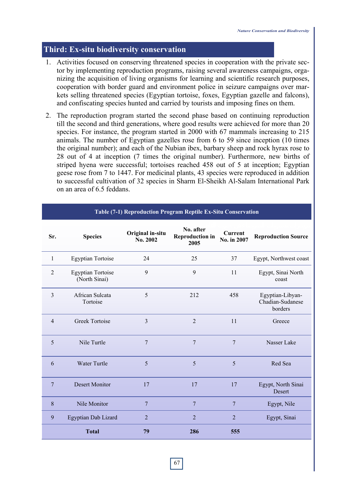## **Third: Ex-situ biodiversity conservation**

- 1. Activities focused on conserving threatened species in cooperation with the private sector by implementing reproduction programs, raising several awareness campaigns, organizing the acquisition of living organisms for learning and scientific research purposes, cooperation with border guard and environment police in seizure campaigns over markets selling threatened species (Egyptian tortoise, foxes, Egyptian gazelle and falcons), and confiscating species hunted and carried by tourists and imposing fines on them.
- 2. The reproduction program started the second phase based on continuing reproduction till the second and third generations, where good results were achieved for more than 20 species. For instance, the program started in 2000 with 67 mammals increasing to 215 animals. The number of Egyptian gazelles rose from 6 to 59 since inception (10 times the original number); and each of the Nubian ibex, barbary sheep and rock hyrax rose to 28 out of 4 at inception (7 times the original number). Furthermore, new births of striped hyena were successful; tortoises reached 458 out of 5 at inception; Egyptian geese rose from 7 to 1447. For medicinal plants, 43 species were reproduced in addition to successful cultivation of 32 species in Sharm El-Sheikh Al-Salam International Park on an area of 6.5 feddans.

| Sr.            | <b>Species</b>                            | Original in-situ<br>No. 2002 | No. after<br><b>Reproduction in</b><br>2005 | <b>Current</b><br>No. in 2007 | <b>Reproduction Source</b>                      |
|----------------|-------------------------------------------|------------------------------|---------------------------------------------|-------------------------------|-------------------------------------------------|
| 1              | <b>Egyptian Tortoise</b>                  | 24                           | 25                                          | 37                            | Egypt, Northwest coast                          |
| $\overline{2}$ | <b>Egyptian Tortoise</b><br>(North Sinai) | 9                            | 9                                           | 11                            | Egypt, Sinai North<br>coast                     |
| 3              | African Sulcata<br>Tortoise               | 5                            | 212                                         | 458                           | Egyptian-Libyan-<br>Chadian-Sudanese<br>borders |
| 4              | <b>Greek Tortoise</b>                     | $\overline{3}$               | $\overline{2}$                              | 11                            | Greece                                          |
| 5              | Nile Turtle                               | $\overline{7}$               | 7                                           | 7                             | Nasser Lake                                     |
| 6              | <b>Water Turtle</b>                       | 5                            | 5                                           | 5                             | Red Sea                                         |
| 7              | <b>Desert Monitor</b>                     | 17                           | 17                                          | 17                            | Egypt, North Sinai<br>Desert                    |
| 8              | Nile Monitor                              | 7                            | 7                                           | 7                             | Egypt, Nile                                     |
| 9              | Egyptian Dab Lizard                       | $\overline{2}$               | $\overline{2}$                              | $\overline{2}$                | Egypt, Sinai                                    |
|                | <b>Total</b>                              | 79                           | 286                                         | 555                           |                                                 |

#### **Table (7-1) Reproduction Program Reptile Ex-Situ Conservation**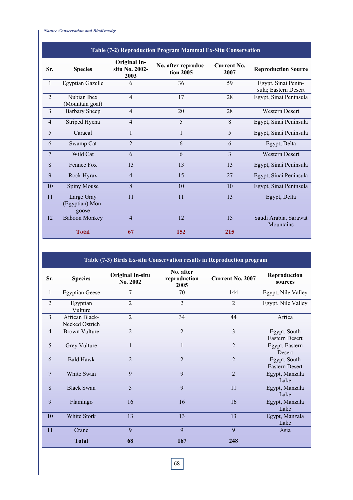*Nature Conservation and Biodiversity* 

| Table (7-2) Reproduction Program Mammal Ex-Situ Conservation |                                        |                                               |                                  |                            |                                             |  |  |
|--------------------------------------------------------------|----------------------------------------|-----------------------------------------------|----------------------------------|----------------------------|---------------------------------------------|--|--|
| Sr.                                                          | <b>Species</b>                         | <b>Original In-</b><br>situ No. 2002-<br>2003 | No. after reproduc-<br>tion 2005 | <b>Current No.</b><br>2007 | <b>Reproduction Source</b>                  |  |  |
| $\overline{1}$                                               | <b>Egyptian Gazelle</b>                | 6                                             | 36                               | 59                         | Egypt, Sinai Penin-<br>sula; Eastern Desert |  |  |
| $\overline{2}$                                               | Nubian Ibex<br>(Mountain goat)         | $\overline{4}$                                | 17                               | 28                         | Egypt, Sinai Peninsula                      |  |  |
| $\overline{\mathbf{3}}$                                      | <b>Barbary Sheep</b>                   | $\overline{4}$                                | 20                               | 28                         | Western Desert                              |  |  |
| $\overline{4}$                                               | Striped Hyena                          | $\overline{4}$                                | 5                                | 8                          | Egypt, Sinai Peninsula                      |  |  |
| 5                                                            | Caracal                                | $\mathbf{1}$                                  | $\mathbf{1}$                     | 5                          | Egypt, Sinai Peninsula                      |  |  |
| 6                                                            | Swamp Cat                              | $\overline{2}$                                | 6                                | 6                          | Egypt, Delta                                |  |  |
| 7                                                            | Wild Cat                               | 6                                             | 6                                | 3                          | <b>Western Desert</b>                       |  |  |
| 8                                                            | Fennec Fox                             | 13                                            | 13                               | 13                         | Egypt, Sinai Peninsula                      |  |  |
| 9                                                            | Rock Hyrax                             | $\overline{4}$                                | 15                               | 27                         | Egypt, Sinai Peninsula                      |  |  |
| 10                                                           | Spiny Mouse                            | 8                                             | 10                               | 10                         | Egypt, Sinai Peninsula                      |  |  |
| 11                                                           | Large Gray<br>(Egyptian) Mon-<br>goose | 11                                            | 11                               | 13                         | Egypt, Delta                                |  |  |
| 12                                                           | <b>Baboon Monkey</b>                   | $\overline{4}$                                | 12                               | 15                         | Saudi Arabia, Sarawat<br>Mountains          |  |  |
|                                                              | <b>Total</b>                           | 67                                            | 152                              | 215                        |                                             |  |  |

# **Table (7-3) Birds Ex-situ Conservation results in Reproduction program**

| Sr.            | <b>Species</b>                   | <b>Original In-situ</b><br>No. 2002 | No. after<br>reproduction<br>2005 | <b>Current No. 2007</b> | Reproduction<br>sources         |
|----------------|----------------------------------|-------------------------------------|-----------------------------------|-------------------------|---------------------------------|
| $\blacksquare$ | <b>Egyptian Geese</b>            | 7                                   | 70                                | 144                     | Egypt, Nile Valley              |
| $\overline{2}$ | Egyptian<br>Vulture              | $\overline{2}$                      | $\overline{2}$                    | $\overline{2}$          | Egypt, Nile Valley              |
| $\overline{3}$ | African Black-<br>Necked Ostrich | $\overline{2}$                      | 34                                | 44                      | Africa                          |
| $\overline{4}$ | <b>Brown Vulture</b>             | $\overline{2}$                      | $\overline{2}$                    | 3                       | Egypt, South<br>Eastern Desert  |
| 5              | Grey Vulture                     | $\mathbf{1}$                        | 1                                 | $\overline{2}$          | Egypt, Eastern<br><b>Desert</b> |
| 6              | <b>Bald Hawk</b>                 | $\overline{2}$                      | $\overline{2}$                    | $\overline{2}$          | Egypt, South<br>Eastern Desert  |
| $\overline{7}$ | White Swan                       | 9                                   | 9                                 | $\overline{2}$          | Egypt, Manzala<br>Lake          |
| 8              | <b>Black Swan</b>                | 5                                   | 9                                 | 11                      | Egypt, Manzala<br>Lake          |
| 9              | Flamingo                         | 16                                  | 16                                | 16                      | Egypt, Manzala<br>Lake          |
| 10             | White Stork                      | 13                                  | 13                                | 13                      | Egypt, Manzala<br>Lake          |
| 11             | Crane                            | 9                                   | 9                                 | 9                       | Asia                            |
|                | <b>Total</b>                     | 68                                  | 167                               | 248                     |                                 |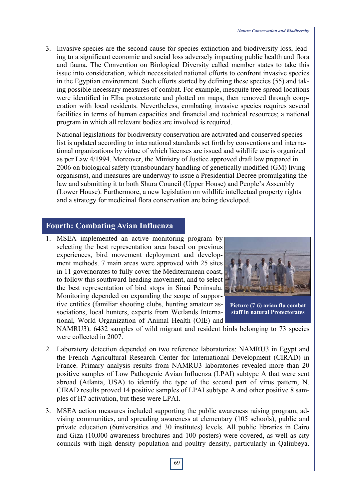3. Invasive species are the second cause for species extinction and biodiversity loss, leading to a significant economic and social loss adversely impacting public health and flora and fauna. The Convention on Biological Diversity called member states to take this issue into consideration, which necessitated national efforts to confront invasive species in the Egyptian environment. Such efforts started by defining these species (55) and taking possible necessary measures of combat. For example, mesquite tree spread locations were identified in Elba protectorate and plotted on maps, then removed through cooperation with local residents. Nevertheless, combating invasive species requires several facilities in terms of human capacities and financial and technical resources; a national program in which all relevant bodies are involved is required.

National legislations for biodiversity conservation are activated and conserved species list is updated according to international standards set forth by conventions and international organizations by virtue of which licenses are issued and wildlife use is organized as per Law 4/1994. Moreover, the Ministry of Justice approved draft law prepared in 2006 on biological safety (transboundary handling of genetically modified (GM) living organisms), and measures are underway to issue a Presidential Decree promulgating the law and submitting it to both Shura Council (Upper House) and People's Assembly (Lower House). Furthermore, a new legislation on wildlife intellectual property rights and a strategy for medicinal flora conservation are being developed.

#### **Fourth: Combating Avian Influenza**

1. MSEA implemented an active monitoring program by selecting the best representation area based on previous experiences, bird movement deployment and development methods. 7 main areas were approved with 25 sites in 11 governorates to fully cover the Mediterranean coast, to follow this southward-heading movement, and to select the best representation of bird stops in Sinai Peninsula. Monitoring depended on expanding the scope of supportive entities (familiar shooting clubs, hunting amateur associations, local hunters, experts from Wetlands International, World Organization of Animal Health (OIE) and



**Picture (7-6) avian flu combat staff in natural Protectorates** 

NAMRU3). 6432 samples of wild migrant and resident birds belonging to 73 species were collected in 2007.

- 2. Laboratory detection depended on two reference laboratories: NAMRU3 in Egypt and the French Agricultural Research Center for International Development (CIRAD) in France. Primary analysis results from NAMRU3 laboratories revealed more than 20 positive samples of Low Pathogenic Avian Influenza (LPAI) subtype A that were sent abroad (Atlanta, USA) to identify the type of the second part of virus pattern, N. CIRAD results proved 14 positive samples of LPAI subtype A and other positive 8 samples of H7 activation, but these were LPAI.
- 3. MSEA action measures included supporting the public awareness raising program, advising communities, and spreading awareness at elementary (105 schools), public and private education (6universities and 30 institutes) levels. All public libraries in Cairo and Giza (10,000 awareness brochures and 100 posters) were covered, as well as city councils with high density population and poultry density, particularly in Qaliubeya.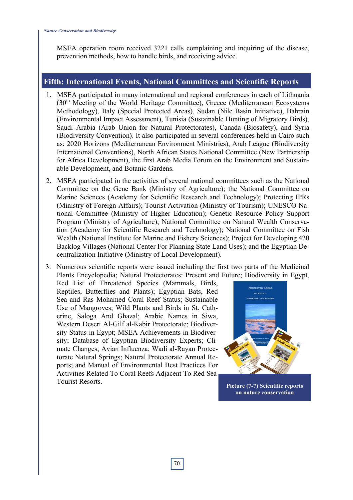MSEA operation room received 3221 calls complaining and inquiring of the disease, prevention methods, how to handle birds, and receiving advice.

# **Fifth: International Events, National Committees and Scientific Reports**

- 1. MSEA participated in many international and regional conferences in each of Lithuania  $(30<sup>th</sup> Meeting of the World Heritage Committee)$ , Greece (Mediterranean Ecosystems Methodology), Italy (Special Protected Areas), Sudan (Nile Basin Initiative), Bahrain (Environmental Impact Assessment), Tunisia (Sustainable Hunting of Migratory Birds), Saudi Arabia (Arab Union for Natural Protectorates), Canada (Biosafety), and Syria (Biodiversity Convention). It also participated in several conferences held in Cairo such as: 2020 Horizons (Mediterranean Environment Ministries), Arab League (Biodiversity International Conventions), North African States National Committee (New Partnership for Africa Development), the first Arab Media Forum on the Environment and Sustainable Development, and Botanic Gardens.
- 2. MSEA participated in the activities of several national committees such as the National Committee on the Gene Bank (Ministry of Agriculture); the National Committee on Marine Sciences (Academy for Scientific Research and Technology); Protecting IPRs (Ministry of Foreign Affairs); Tourist Activation (Ministry of Tourism); UNESCO National Committee (Ministry of Higher Education); Genetic Resource Policy Support Program (Ministry of Agriculture); National Committee on Natural Wealth Conservation (Academy for Scientific Research and Technology); National Committee on Fish Wealth (National Institute for Marine and Fishery Sciences); Project for Developing 420 Backlog Villages (National Center For Planning State Land Uses); and the Egyptian Decentralization Initiative (Ministry of Local Development).
- 3. Numerous scientific reports were issued including the first two parts of the Medicinal Plants Encyclopedia; Natural Protectorates: Present and Future; Biodiversity in Egypt,

Red List of Threatened Species (Mammals, Birds, Reptiles, Butterflies and Plants); Egyptian Bats, Red Sea and Ras Mohamed Coral Reef Status; Sustainable Use of Mangroves; Wild Plants and Birds in St. Catherine, Saloga And Ghazal; Arabic Names in Siwa, Western Desert Al-Gilf al-Kabir Protectorate; Biodiversity Status in Egypt; MSEA Achievements in Biodiversity; Database of Egyptian Biodiversity Experts; Climate Changes; Avian Influenza; Wadi al-Rayan Protectorate Natural Springs; Natural Protectorate Annual Reports; and Manual of Environmental Best Practices For Activities Related To Coral Reefs Adjacent To Red Sea Tourist Resorts. **Picture (7-7) Scientific reports** 



**on nature conservation**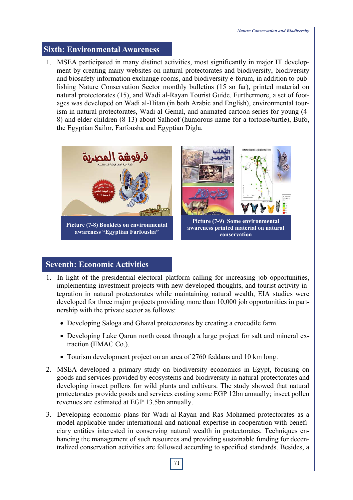# **Sixth: Environmental Awareness**

1. MSEA participated in many distinct activities, most significantly in major IT development by creating many websites on natural protectorates and biodiversity, biodiversity and biosafety information exchange rooms, and biodiversity e-forum, in addition to publishing Nature Conservation Sector monthly bulletins (15 so far), printed material on natural protectorates (15), and Wadi al-Rayan Tourist Guide. Furthermore, a set of footages was developed on Wadi al-Hitan (in both Arabic and English), environmental tourism in natural protectorates, Wadi al-Gemal, and animated cartoon series for young (4- 8) and elder children (8-13) about Salhoof (humorous name for a tortoise/turtle), Bufo, the Egyptian Sailor, Farfousha and Egyptian Digla.



# **Seventh: Economic Activities**

- 1. In light of the presidential electoral platform calling for increasing job opportunities, implementing investment projects with new developed thoughts, and tourist activity integration in natural protectorates while maintaining natural wealth, EIA studies were developed for three major projects providing more than 10,000 job opportunities in partnership with the private sector as follows:
	- Developing Saloga and Ghazal protectorates by creating a crocodile farm.
	- Developing Lake Qarun north coast through a large project for salt and mineral extraction (EMAC Co.).
	- Tourism development project on an area of 2760 feddans and 10 km long.
- 2. MSEA developed a primary study on biodiversity economics in Egypt, focusing on goods and services provided by ecosystems and biodiversity in natural protectorates and developing insect pollens for wild plants and cultivars. The study showed that natural protectorates provide goods and services costing some EGP 12bn annually; insect pollen revenues are estimated at EGP 13.5bn annually.
- 3. Developing economic plans for Wadi al-Rayan and Ras Mohamed protectorates as a model applicable under international and national expertise in cooperation with beneficiary entities interested in conserving natural wealth in protectorates. Techniques enhancing the management of such resources and providing sustainable funding for decentralized conservation activities are followed according to specified standards. Besides, a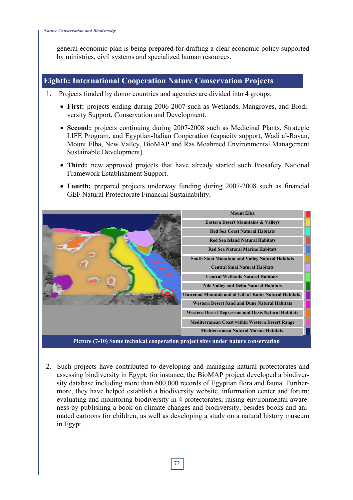general economic plan is being prepared for drafting a clear economic policy supported by ministries, civil systems and specialized human resources.

# **Eighth: International Cooperation Nature Conservation Projects**

- 1. Projects funded by donor countries and agencies are divided into 4 groups:
	- **First:** projects ending during 2006-2007 such as Wetlands, Mangroves, and Biodiversity Support, Conservation and Development.
	- **Second:** projects continuing during 2007-2008 such as Medicinal Plants, Strategic LIFE Program, and Egyptian-Italian Cooperation (capacity support, Wadi al-Rayan, Mount Elba, New Valley, BioMAP and Ras Moahmed Environmental Management Sustainable Development).
	- **Third:** new approved projects that have already started such Biosafety National Framework Establishment Support.
	- **Fourth:** prepared projects underway funding during 2007-2008 such as financial GEF Natural Protectorate Financial Sustainability.



**Picture (7-10) Some technical cooperation project sites under nature conservation**

2. Such projects have contributed to developing and managing natural protectorates and assessing biodiversity in Egypt; for instance, the BioMAP project developed a biodiversity database including more than 600,000 records of Egyptian flora and fauna. Furthermore, they have helped establish a biodiversity website, information center and forum; evaluating and monitoring biodiversity in 4 protectorates; raising environmental awareness by publishing a book on climate changes and biodiversity, besides books and animated cartoons for children, as well as developing a study on a natural history museum in Egypt.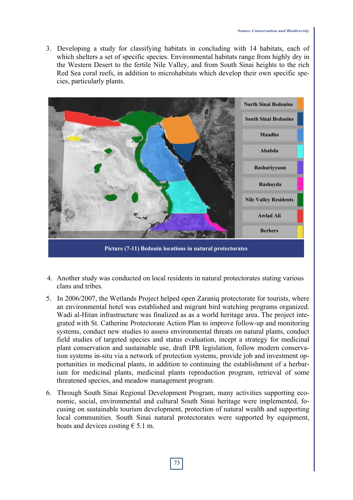3. Developing a study for classifying habitats in concluding with 14 habitats, each of which shelters a set of specific species. Environmental habitats range from highly dry in the Western Desert to the fertile Nile Valley, and from South Sinai heights to the rich Red Sea coral reefs, in addition to microhabitats which develop their own specific species, particularly plants.



- 4. Another study was conducted on local residents in natural protectorates stating various clans and tribes.
- 5. In 2006/2007, the Wetlands Project helped open Zaraniq protectorate for tourists, where an environmental hotel was established and migrant bird watching programs organized. Wadi al-Hitan infrastructure was finalized as as a world heritage area. The project integrated with St. Catherine Protectorate Action Plan to improve follow-up and monitoring systems, conduct new studies to assess environmental threats on natural plants, conduct field studies of targeted species and status evaluation, incept a strategy for medicinal plant conservation and sustainable use, draft IPR legislation, follow modern conservation systems in-situ via a network of protection systems, provide job and investment opportunities in medicinal plants, in addition to continuing the establishment of a herbarium for medicinal plants, medicinal plants reproduction program, retrieval of some threatened species, and meadow management program.
- 6. Through South Sinai Regional Development Program, many activities supporting economic, social, environmental and cultural South Sinai heritage were implemented, focusing on sustainable tourism development, protection of natural wealth and supporting local communities. South Sinai natural protectorates were supported by equipment, boats and devices costing  $\epsilon$  5.1 m.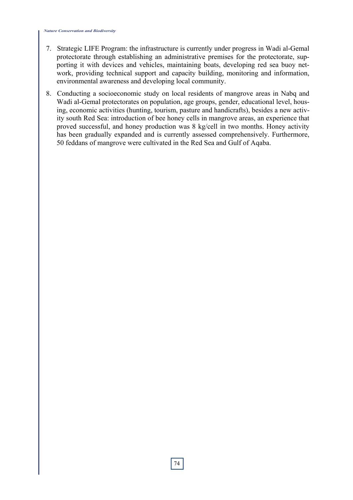- 7. Strategic LIFE Program: the infrastructure is currently under progress in Wadi al-Gemal protectorate through establishing an administrative premises for the protectorate, supporting it with devices and vehicles, maintaining boats, developing red sea buoy network, providing technical support and capacity building, monitoring and information, environmental awareness and developing local community.
- 8. Conducting a socioeconomic study on local residents of mangrove areas in Nabq and Wadi al-Gemal protectorates on population, age groups, gender, educational level, housing, economic activities (hunting, tourism, pasture and handicrafts), besides a new activity south Red Sea: introduction of bee honey cells in mangrove areas, an experience that proved successful, and honey production was 8 kg/cell in two months. Honey activity has been gradually expanded and is currently assessed comprehensively. Furthermore, 50 feddans of mangrove were cultivated in the Red Sea and Gulf of Aqaba.